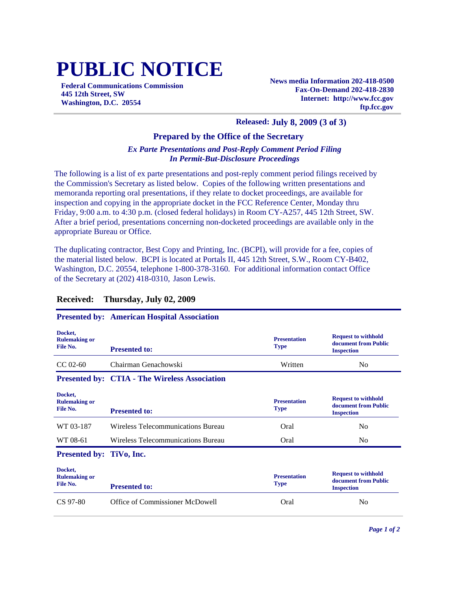# **PUBLIC NOTICE**

**Federal Communications Commission 445 12th Street, SW Washington, D.C. 20554**

**News media Information 202-418-0500 Fax-On-Demand 202-418-2830 Internet: http://www.fcc.gov ftp.fcc.gov**

#### **Released: July 8, 2009 (3 of 3)**

#### **Prepared by the Office of the Secretary**

#### *Ex Parte Presentations and Post-Reply Comment Period Filing In Permit-But-Disclosure Proceedings*

The following is a list of ex parte presentations and post-reply comment period filings received by the Commission's Secretary as listed below. Copies of the following written presentations and memoranda reporting oral presentations, if they relate to docket proceedings, are available for inspection and copying in the appropriate docket in the FCC Reference Center, Monday thru Friday, 9:00 a.m. to 4:30 p.m. (closed federal holidays) in Room CY-A257, 445 12th Street, SW. After a brief period, presentations concerning non-docketed proceedings are available only in the appropriate Bureau or Office.

The duplicating contractor, Best Copy and Printing, Inc. (BCPI), will provide for a fee, copies of the material listed below. BCPI is located at Portals II, 445 12th Street, S.W., Room CY-B402, Washington, D.C. 20554, telephone 1-800-378-3160. For additional information contact Office of the Secretary at (202) 418-0310, Jason Lewis.

| <b>Presented to:</b>                                 | <b>Presentation</b><br><b>Type</b> | <b>Request to withhold</b><br>document from Public<br><b>Inspection</b> |
|------------------------------------------------------|------------------------------------|-------------------------------------------------------------------------|
| Chairman Genachowski                                 | Written                            | No.                                                                     |
| <b>Presented by: CTIA - The Wireless Association</b> |                                    |                                                                         |
| <b>Presented to:</b>                                 | <b>Presentation</b><br>Type        | <b>Request to withhold</b><br>document from Public<br><b>Inspection</b> |
| Wireless Telecommunications Bureau                   | Oral                               | N <sub>0</sub>                                                          |
| Wireless Telecommunications Bureau                   | Oral                               | No.                                                                     |
| Presented by: TiVo, Inc.                             |                                    |                                                                         |
| <b>Presented to:</b>                                 | <b>Presentation</b><br><b>Type</b> | <b>Request to withhold</b><br>document from Public<br><b>Inspection</b> |
| Office of Commissioner McDowell                      | Oral                               | N <sub>0</sub>                                                          |
|                                                      |                                    |                                                                         |

### **Received: Thursday, July 02, 2009**

## **Presented by: American Hospital Association**